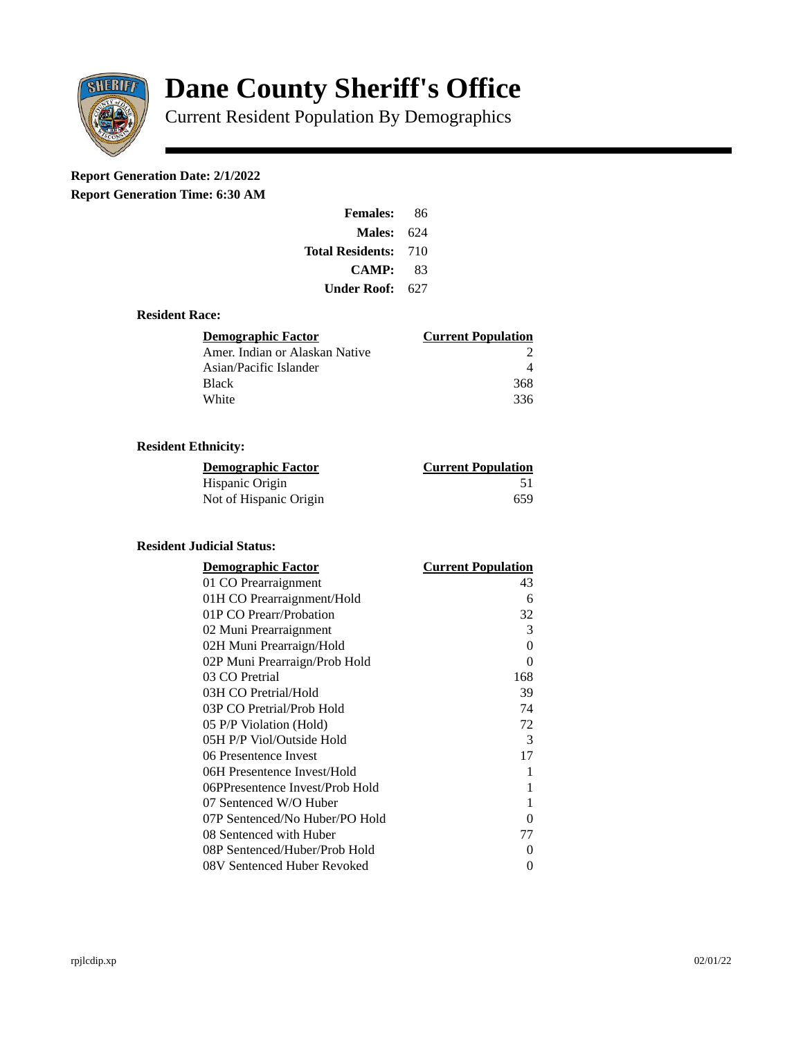

# **Dane County Sheriff's Office**

Current Resident Population By Demographics

# **Report Generation Date: 2/1/2022**

**Report Generation Time: 6:30 AM** 

| <b>Females:</b>         | 86  |
|-------------------------|-----|
| Males:                  | 624 |
| <b>Total Residents:</b> | 710 |
| CAMP:                   | 83  |
| Under Roof:             | 627 |

#### **Resident Race:**

| Demographic Factor             | <b>Current Population</b> |
|--------------------------------|---------------------------|
| Amer. Indian or Alaskan Native |                           |
| Asian/Pacific Islander         |                           |
| <b>Black</b>                   | 368                       |
| White                          | 336                       |

## **Resident Ethnicity:**

| <u> Demographic Factor</u> | <b>Current Population</b> |
|----------------------------|---------------------------|
| Hispanic Origin            | 51                        |
| Not of Hispanic Origin     | 659                       |

### **Resident Judicial Status:**

| <b>Demographic Factor</b>       | <b>Current Population</b> |
|---------------------------------|---------------------------|
| 01 CO Prearraignment            | 43                        |
| 01H CO Prearraignment/Hold      | 6                         |
| 01P CO Prearr/Probation         | 32                        |
| 02 Muni Prearraignment          | 3                         |
| 02H Muni Prearraign/Hold        | 0                         |
| 02P Muni Prearraign/Prob Hold   | 0                         |
| 03 CO Pretrial                  | 168                       |
| 03H CO Pretrial/Hold            | 39                        |
| 03P CO Pretrial/Prob Hold       | 74                        |
| 05 P/P Violation (Hold)         | 72                        |
| 05H P/P Viol/Outside Hold       | 3                         |
| 06 Presentence Invest           | 17                        |
| 06H Presentence Invest/Hold     | 1                         |
| 06PPresentence Invest/Prob Hold | 1                         |
| 07 Sentenced W/O Huber          | 1                         |
| 07P Sentenced/No Huber/PO Hold  | 0                         |
| 08 Sentenced with Huber         | 77                        |
| 08P Sentenced/Huber/Prob Hold   | O                         |
| 08V Sentenced Huber Revoked     | 0                         |